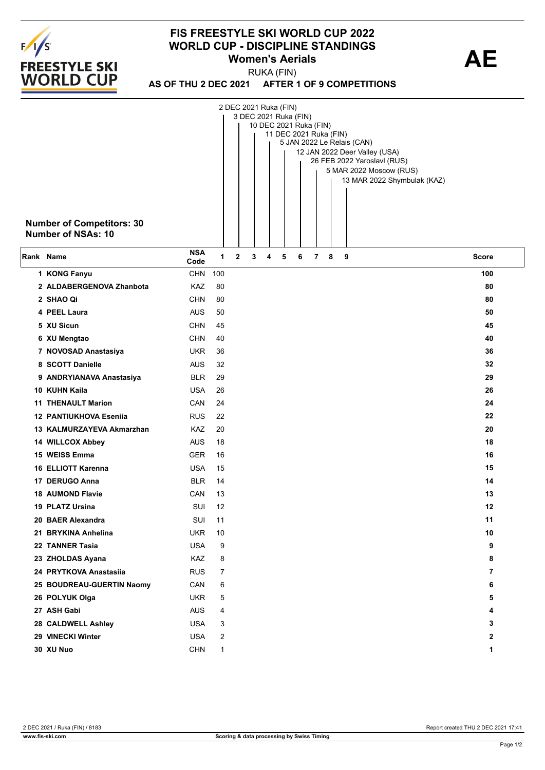

## **FIS FREESTYLE SKI WORLD CUP 2022 WORLD CUP - DISCIPLINE STANDINGS<br>Women's Aerials <b>AE Women's Aerials**

**AS OF THU 2 DEC 2021 AFTER 1 OF 9 COMPETITIONS** RUKA (FIN)

| <b>Number of Competitors: 30</b><br><b>Number of NSAs: 10</b> |                    |     |              | 2 DEC 2021 Ruka (FIN)<br>3 DEC 2021 Ruka (FIN) | 10 DEC 2021 Ruka (FIN) |   | 11 DEC 2021 Ruka (FIN) |   |   |   | 5 JAN 2022 Le Relais (CAN)<br>12 JAN 2022 Deer Valley (USA)<br>26 FEB 2022 Yaroslavl (RUS)<br>5 MAR 2022 Moscow (RUS)<br>13 MAR 2022 Shymbulak (KAZ) |                |
|---------------------------------------------------------------|--------------------|-----|--------------|------------------------------------------------|------------------------|---|------------------------|---|---|---|------------------------------------------------------------------------------------------------------------------------------------------------------|----------------|
| Rank Name                                                     | <b>NSA</b><br>Code | 1   | $\mathbf{2}$ | 3                                              | 4                      | 5 |                        | 6 | 7 | 8 | 9                                                                                                                                                    | <b>Score</b>   |
| 1 KONG Fanyu                                                  | <b>CHN</b>         | 100 |              |                                                |                        |   |                        |   |   |   |                                                                                                                                                      | 100            |
| 2 ALDABERGENOVA Zhanbota                                      | KAZ                | 80  |              |                                                |                        |   |                        |   |   |   |                                                                                                                                                      | 80             |
| 2 SHAO Qi                                                     | <b>CHN</b>         | 80  |              |                                                |                        |   |                        |   |   |   |                                                                                                                                                      | 80             |
| 4 PEEL Laura                                                  | <b>AUS</b>         | 50  |              |                                                |                        |   |                        |   |   |   |                                                                                                                                                      | 50             |
| 5 XU Sicun                                                    | <b>CHN</b>         | 45  |              |                                                |                        |   |                        |   |   |   |                                                                                                                                                      | 45             |
| 6 XU Mengtao                                                  | <b>CHN</b>         | 40  |              |                                                |                        |   |                        |   |   |   |                                                                                                                                                      | 40             |
| 7 NOVOSAD Anastasiya                                          | <b>UKR</b>         | 36  |              |                                                |                        |   |                        |   |   |   |                                                                                                                                                      | 36             |
| 8 SCOTT Danielle                                              | <b>AUS</b>         | 32  |              |                                                |                        |   |                        |   |   |   |                                                                                                                                                      | 32             |
| 9 ANDRYIANAVA Anastasiya                                      | <b>BLR</b>         | 29  |              |                                                |                        |   |                        |   |   |   |                                                                                                                                                      | 29             |
| 10 KUHN Kaila                                                 | <b>USA</b>         | 26  |              |                                                |                        |   |                        |   |   |   |                                                                                                                                                      | 26             |
| <b>11 THENAULT Marion</b>                                     | CAN                | 24  |              |                                                |                        |   |                        |   |   |   |                                                                                                                                                      | 24             |
| 12 PANTIUKHOVA Eseniia                                        | <b>RUS</b>         | 22  |              |                                                |                        |   |                        |   |   |   |                                                                                                                                                      | 22             |
| 13 KALMURZAYEVA Akmarzhan                                     | KAZ                | 20  |              |                                                |                        |   |                        |   |   |   |                                                                                                                                                      | 20             |
| 14 WILLCOX Abbey                                              | <b>AUS</b>         | 18  |              |                                                |                        |   |                        |   |   |   |                                                                                                                                                      | 18             |
| 15 WEISS Emma                                                 | <b>GER</b>         | 16  |              |                                                |                        |   |                        |   |   |   |                                                                                                                                                      | 16             |
| <b>16 ELLIOTT Karenna</b>                                     | <b>USA</b>         | 15  |              |                                                |                        |   |                        |   |   |   |                                                                                                                                                      | 15             |
| 17 DERUGO Anna                                                | <b>BLR</b>         | 14  |              |                                                |                        |   |                        |   |   |   |                                                                                                                                                      | 14             |
| <b>18 AUMOND Flavie</b>                                       | CAN                | 13  |              |                                                |                        |   |                        |   |   |   |                                                                                                                                                      | 13             |
| 19 PLATZ Ursina                                               | SUI                | 12  |              |                                                |                        |   |                        |   |   |   |                                                                                                                                                      | 12             |
| 20 BAER Alexandra                                             | SUI                | 11  |              |                                                |                        |   |                        |   |   |   |                                                                                                                                                      | 11             |
| 21 BRYKINA Anhelina                                           | <b>UKR</b>         | 10  |              |                                                |                        |   |                        |   |   |   |                                                                                                                                                      | 10             |
| 22 TANNER Tasia                                               | <b>USA</b>         | 9   |              |                                                |                        |   |                        |   |   |   |                                                                                                                                                      | 9              |
| 23 ZHOLDAS Ayana                                              | KAZ                | 8   |              |                                                |                        |   |                        |   |   |   |                                                                                                                                                      | 8              |
| 24 PRYTKOVA Anastasiia                                        | <b>RUS</b>         | 7   |              |                                                |                        |   |                        |   |   |   |                                                                                                                                                      | $\overline{7}$ |
| 25 BOUDREAU-GUERTIN Naomy                                     | CAN                | 6   |              |                                                |                        |   |                        |   |   |   |                                                                                                                                                      | 6              |
| 26 POLYUK Olga                                                | <b>UKR</b>         | 5   |              |                                                |                        |   |                        |   |   |   |                                                                                                                                                      | 5              |
| 27 ASH Gabi                                                   | <b>AUS</b>         | 4   |              |                                                |                        |   |                        |   |   |   |                                                                                                                                                      | 4              |
| 28 CALDWELL Ashley                                            | <b>USA</b>         | 3   |              |                                                |                        |   |                        |   |   |   |                                                                                                                                                      | 3              |
| 29 VINECKI Winter                                             | <b>USA</b>         | 2   |              |                                                |                        |   |                        |   |   |   |                                                                                                                                                      | 2              |
| 30 XU Nuo                                                     | <b>CHN</b>         | 1   |              |                                                |                        |   |                        |   |   |   |                                                                                                                                                      | 1              |